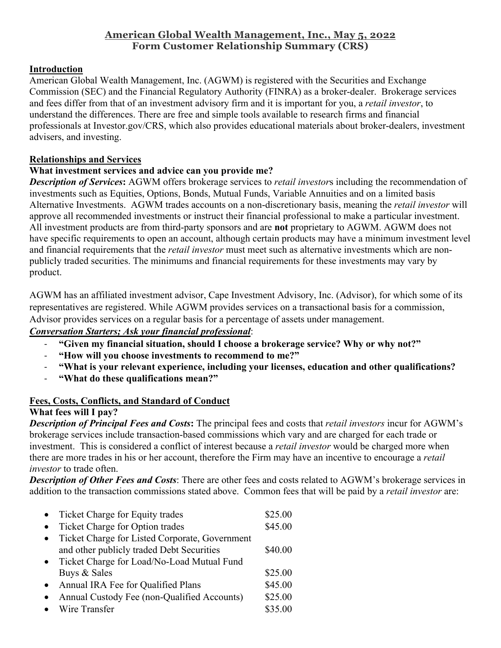#### **American Global Wealth Management, Inc., May 5, 2022 Form Customer Relationship Summary (CRS)**

#### **Introduction**

American Global Wealth Management, Inc. (AGWM) is registered with the Securities and Exchange Commission (SEC) and the Financial Regulatory Authority (FINRA) as a broker-dealer. Brokerage services and fees differ from that of an investment advisory firm and it is important for you, a *retail investor*, to understand the differences. There are free and simple tools available to research firms and financial professionals at Investor.gov/CRS, which also provides educational materials about broker-dealers, investment advisers, and investing.

#### **Relationships and Services**

#### **What investment services and advice can you provide me?**

*Description of Services***:** AGWM offers brokerage services to *retail investor*s including the recommendation of investments such as Equities, Options, Bonds, Mutual Funds, Variable Annuities and on a limited basis Alternative Investments. AGWM trades accounts on a non-discretionary basis, meaning the *retail investor* will approve all recommended investments or instruct their financial professional to make a particular investment. All investment products are from third-party sponsors and are **not** proprietary to AGWM. AGWM does not have specific requirements to open an account, although certain products may have a minimum investment level and financial requirements that the *retail investor* must meet such as alternative investments which are nonpublicly traded securities. The minimums and financial requirements for these investments may vary by product.

AGWM has an affiliated investment advisor, Cape Investment Advisory, Inc. (Advisor), for which some of its representatives are registered. While AGWM provides services on a transactional basis for a commission, Advisor provides services on a regular basis for a percentage of assets under management.

## *Conversation Starters; Ask your financial professional*:

- ‐ **"Given my financial situation, should I choose a brokerage service? Why or why not?"**
- ‐ **"How will you choose investments to recommend to me?"**
- ‐ **"What is your relevant experience, including your licenses, education and other qualifications?**
- ‐ **"What do these qualifications mean?"**

## **Fees, Costs, Conflicts, and Standard of Conduct**

## **What fees will I pay?**

*Description of Principal Fees and Costs***:** The principal fees and costs that *retail investors* incur for AGWM's brokerage services include transaction-based commissions which vary and are charged for each trade or investment. This is considered a conflict of interest because a *retail investor* would be charged more when there are more trades in his or her account, therefore the Firm may have an incentive to encourage a *retail investor* to trade often.

*Description of Other Fees and Costs*: There are other fees and costs related to AGWM's brokerage services in addition to the transaction commissions stated above. Common fees that will be paid by a *retail investor* are:

| Ticket Charge for Equity trades                | \$25.00 |
|------------------------------------------------|---------|
| Ticket Charge for Option trades                | \$45.00 |
| Ticket Charge for Listed Corporate, Government |         |
| and other publicly traded Debt Securities      | \$40.00 |
| Ticket Charge for Load/No-Load Mutual Fund     |         |
| Buys & Sales                                   | \$25.00 |
| Annual IRA Fee for Qualified Plans             | \$45.00 |
| Annual Custody Fee (non-Qualified Accounts)    | \$25.00 |
| Wire Transfer                                  | \$35.00 |